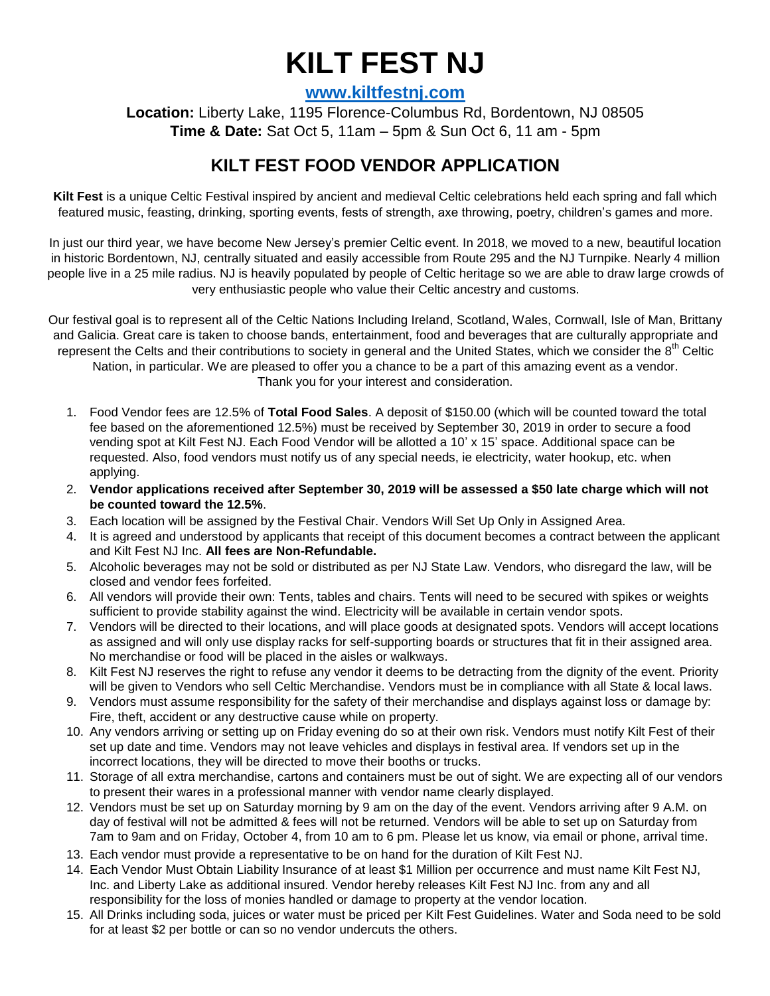## **KILT FEST NJ**

**[www.kiltfestnj.com](http://www.kiltfestnj.com/)**

**Location:** Liberty Lake, 1195 Florence-Columbus Rd, Bordentown, NJ 08505 **Time & Date:** Sat Oct 5, 11am – 5pm & Sun Oct 6, 11 am - 5pm

## **KILT FEST FOOD VENDOR APPLICATION**

**Kilt Fest** is a unique Celtic Festival inspired by ancient and medieval Celtic celebrations held each spring and fall which featured music, feasting, drinking, sporting events, fests of strength, axe throwing, poetry, children's games and more.

In just our third year, we have become New Jersey's premier Celtic event. In 2018, we moved to a new, beautiful location in historic Bordentown, NJ, centrally situated and easily accessible from Route 295 and the NJ Turnpike. Nearly 4 million people live in a 25 mile radius. NJ is heavily populated by people of Celtic heritage so we are able to draw large crowds of very enthusiastic people who value their Celtic ancestry and customs.

Our festival goal is to represent all of the Celtic Nations Including Ireland, Scotland, Wales, Cornwall, Isle of Man, Brittany and Galicia. Great care is taken to choose bands, entertainment, food and beverages that are culturally appropriate and represent the Celts and their contributions to society in general and the United States, which we consider the 8<sup>th</sup> Celtic Nation, in particular. We are pleased to offer you a chance to be a part of this amazing event as a vendor. Thank you for your interest and consideration.

- 1. Food Vendor fees are 12.5% of **Total Food Sales**. A deposit of \$150.00 (which will be counted toward the total fee based on the aforementioned 12.5%) must be received by September 30, 2019 in order to secure a food vending spot at Kilt Fest NJ. Each Food Vendor will be allotted a 10' x 15' space. Additional space can be requested. Also, food vendors must notify us of any special needs, ie electricity, water hookup, etc. when applying.
- 2. **Vendor applications received after September 30, 2019 will be assessed a \$50 late charge which will not be counted toward the 12.5%**.
- 3. Each location will be assigned by the Festival Chair. Vendors Will Set Up Only in Assigned Area.
- 4. It is agreed and understood by applicants that receipt of this document becomes a contract between the applicant and Kilt Fest NJ Inc. **All fees are Non-Refundable.**
- 5. Alcoholic beverages may not be sold or distributed as per NJ State Law. Vendors, who disregard the law, will be closed and vendor fees forfeited.
- 6. All vendors will provide their own: Tents, tables and chairs. Tents will need to be secured with spikes or weights sufficient to provide stability against the wind. Electricity will be available in certain vendor spots.
- 7. Vendors will be directed to their locations, and will place goods at designated spots. Vendors will accept locations as assigned and will only use display racks for self-supporting boards or structures that fit in their assigned area. No merchandise or food will be placed in the aisles or walkways.
- 8. Kilt Fest NJ reserves the right to refuse any vendor it deems to be detracting from the dignity of the event. Priority will be given to Vendors who sell Celtic Merchandise. Vendors must be in compliance with all State & local laws.
- 9. Vendors must assume responsibility for the safety of their merchandise and displays against loss or damage by: Fire, theft, accident or any destructive cause while on property.
- 10. Any vendors arriving or setting up on Friday evening do so at their own risk. Vendors must notify Kilt Fest of their set up date and time. Vendors may not leave vehicles and displays in festival area. If vendors set up in the incorrect locations, they will be directed to move their booths or trucks.
- 11. Storage of all extra merchandise, cartons and containers must be out of sight. We are expecting all of our vendors to present their wares in a professional manner with vendor name clearly displayed.
- 12. Vendors must be set up on Saturday morning by 9 am on the day of the event. Vendors arriving after 9 A.M. on day of festival will not be admitted & fees will not be returned. Vendors will be able to set up on Saturday from 7am to 9am and on Friday, October 4, from 10 am to 6 pm. Please let us know, via email or phone, arrival time.
- 13. Each vendor must provide a representative to be on hand for the duration of Kilt Fest NJ.
- 14. Each Vendor Must Obtain Liability Insurance of at least \$1 Million per occurrence and must name Kilt Fest NJ, Inc. and Liberty Lake as additional insured. Vendor hereby releases Kilt Fest NJ Inc. from any and all responsibility for the loss of monies handled or damage to property at the vendor location.
- 15. All Drinks including soda, juices or water must be priced per Kilt Fest Guidelines. Water and Soda need to be sold for at least \$2 per bottle or can so no vendor undercuts the others.